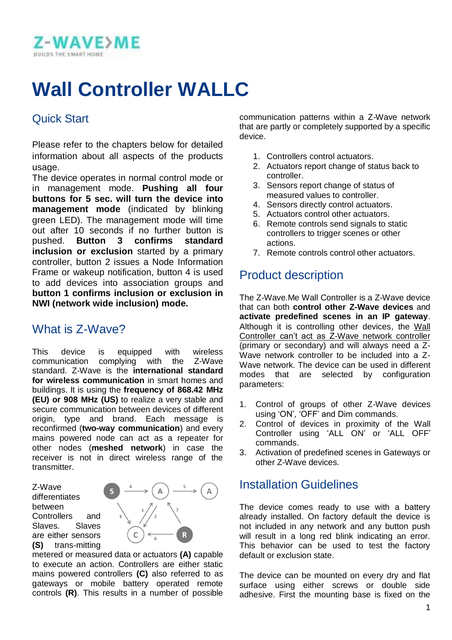

# **Wall Controller WALLC**

### Quick Start

Please refer to the chapters below for detailed information about all aspects of the products usage.

The device operates in normal control mode or in management mode. **Pushing all four buttons for 5 sec. will turn the device into management mode** (indicated by blinking green LED). The management mode will time out after 10 seconds if no further button is pushed. **Button 3 confirms standard inclusion or exclusion** started by a primary controller, button 2 issues a Node Information Frame or wakeup notification, button 4 is used to add devices into association groups and **button 1 confirms inclusion or exclusion in NWI (network wide inclusion) mode.**

## What is 7-Wave?

This device is equipped with wireless communication complying with the Z-Wave standard. Z-Wave is the **international standard for wireless communication** in smart homes and buildings. It is using the **frequency of 868.42 MHz (EU) or 908 MHz (US)** to realize a very stable and secure communication between devices of different origin. type and brand. Each message is reconfirmed (**two-way communication**) and every mains powered node can act as a repeater for other nodes (**meshed network**) in case the receiver is not in direct wireless range of the transmitter.

Z-Wave differentiates between Controllers and Slaves. Slaves are either sensors **(S)** trans-mitting



metered or measured data or actuators **(A)** capable to execute an action. Controllers are either static mains powered controllers **(C)** also referred to as gateways or mobile battery operated remote controls **(R)**. This results in a number of possible

communication patterns within a Z-Wave network that are partly or completely supported by a specific device.

- 1. Controllers control actuators.
- 2. Actuators report change of status back to controller.
- 3. Sensors report change of status of measured values to controller.
- 4. Sensors directly control actuators.
- 5. Actuators control other actuators.
- 6. Remote controls send signals to static controllers to trigger scenes or other actions.
- 7. Remote controls control other actuators.

### Product description

The Z-Wave.Me Wall Controller is a Z-Wave device that can both **control other Z-Wave devices** and **activate predefined scenes in an IP gateway**. Although it is controlling other devices, the Wall Controller can't act as Z-Wave network controller (primary or secondary) and will always need a Z-Wave network controller to be included into a Z-Wave network. The device can be used in different modes that are selected by configuration parameters:

- 1. Control of groups of other Z-Wave devices using 'ON', 'OFF' and Dim commands.
- 2. Control of devices in proximity of the Wall Controller using 'ALL ON' or 'ALL OFF' commands.
- 3. Activation of predefined scenes in Gateways or other Z-Wave devices.

### Installation Guidelines

The device comes ready to use with a battery already installed. On factory default the device is not included in any network and any button push will result in a long red blink indicating an error. This behavior can be used to test the factory default or exclusion state.

The device can be mounted on every dry and flat surface using either screws or double side adhesive. First the mounting base is fixed on the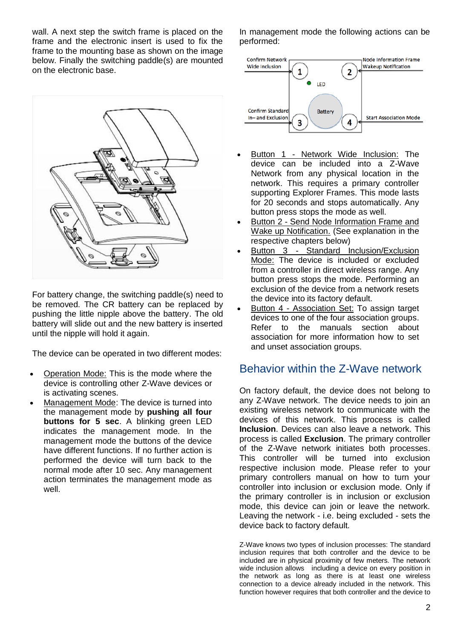wall. A next step the switch frame is placed on the frame and the electronic insert is used to fix the frame to the mounting base as shown on the image below. Finally the switching paddle(s) are mounted on the electronic base.



For battery change, the switching paddle(s) need to be removed. The CR battery can be replaced by pushing the little nipple above the battery. The old battery will slide out and the new battery is inserted until the nipple will hold it again.

The device can be operated in two different modes:

- Operation Mode: This is the mode where the device is controlling other Z-Wave devices or is activating scenes.
- Management Mode: The device is turned into the management mode by **pushing all four buttons for 5 sec**. A blinking green LED indicates the management mode. In the management mode the buttons of the device have different functions. If no further action is performed the device will turn back to the normal mode after 10 sec. Any management action terminates the management mode as well.

In management mode the following actions can be performed:



- Button 1 Network Wide Inclusion: The device can be included into a Z-Wave Network from any physical location in the network. This requires a primary controller supporting Explorer Frames. This mode lasts for 20 seconds and stops automatically. Any button press stops the mode as well.
- Button 2 Send Node Information Frame and Wake up Notification. (See explanation in the respective chapters below)
- Button 3 Standard Inclusion/Exclusion Mode: The device is included or excluded from a controller in direct wireless range. Any button press stops the mode. Performing an exclusion of the device from a network resets the device into its factory default.
- Button 4 Association Set: To assign target devices to one of the four association groups. Refer to the manuals section about association for more information how to set and unset association groups.

### Behavior within the Z-Wave network

On factory default, the device does not belong to any Z-Wave network. The device needs to join an existing wireless network to communicate with the devices of this network. This process is called **Inclusion**. Devices can also leave a network. This process is called **Exclusion**. The primary controller of the Z-Wave network initiates both processes. This controller will be turned into exclusion respective inclusion mode. Please refer to your primary controllers manual on how to turn your controller into inclusion or exclusion mode. Only if the primary controller is in inclusion or exclusion mode, this device can join or leave the network. Leaving the network - i.e. being excluded - sets the device back to factory default.

Z-Wave knows two types of inclusion processes: The standard inclusion requires that both controller and the device to be included are in physical proximity of few meters. The network wide inclusion allows including a device on every position in the network as long as there is at least one wireless connection to a device already included in the network. This function however requires that both controller and the device to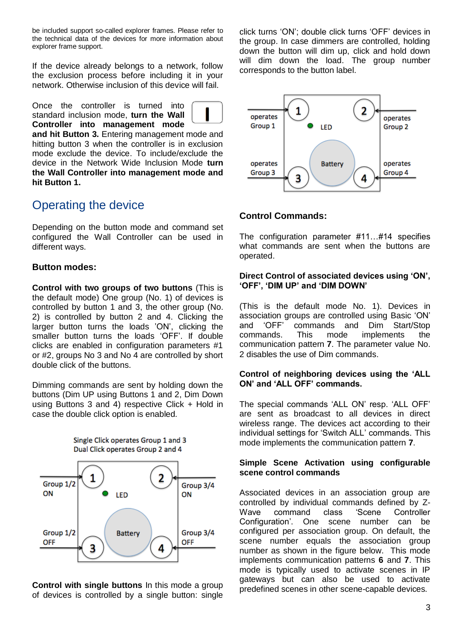be included support so-called explorer frames. Please refer to the technical data of the devices for more information about explorer frame support.

If the device already belongs to a network, follow the exclusion process before including it in your network. Otherwise inclusion of this device will fail.

Once the controller is turned into standard inclusion mode, **turn the Wall Controller into management mode** 



**and hit Button 3.** Entering management mode and hitting button 3 when the controller is in exclusion mode exclude the device. To include/exclude the device in the Network Wide Inclusion Mode **turn the Wall Controller into management mode and hit Button 1.**

### Operating the device

Depending on the button mode and command set configured the Wall Controller can be used in different ways.

#### **Button modes:**

**Control with two groups of two buttons** (This is the default mode) One group (No. 1) of devices is controlled by button 1 and 3, the other group (No. 2) is controlled by button 2 and 4. Clicking the larger button turns the loads 'ON', clicking the smaller button turns the loads 'OFF'. If double clicks are enabled in configuration parameters #1 or #2, groups No 3 and No 4 are controlled by short double click of the buttons.

Dimming commands are sent by holding down the buttons (Dim UP using Buttons 1 and 2, Dim Down using Buttons 3 and 4) respective Click + Hold in case the double click option is enabled.



**Control with single buttons** In this mode a group of devices is controlled by a single button: single

click turns 'ON'; double click turns 'OFF' devices in the group. In case dimmers are controlled, holding down the button will dim up, click and hold down will dim down the load. The group number corresponds to the button label.



### **Control Commands:**

The configuration parameter #11…#14 specifies what commands are sent when the buttons are operated.

#### **Direct Control of associated devices using 'ON', 'OFF', 'DIM UP' and 'DIM DOWN'**

(This is the default mode No. 1). Devices in association groups are controlled using Basic 'ON' and 'OFF' commands and Dim Start/Stop commands. This mode implements the communication pattern **7**. The parameter value No. 2 disables the use of Dim commands.

#### **Control of neighboring devices using the 'ALL ON' and 'ALL OFF' commands.**

The special commands 'ALL ON' resp. 'ALL OFF' are sent as broadcast to all devices in direct wireless range. The devices act according to their individual settings for 'Switch ALL' commands. This mode implements the communication pattern **7**.

#### **Simple Scene Activation using configurable scene control commands**

Associated devices in an association group are controlled by individual commands defined by Z-Wave command class 'Scene Controller Configuration'. One scene number can be configured per association group. On default, the scene number equals the association group number as shown in the figure below. This mode implements communication patterns **6** and **7**. This mode is typically used to activate scenes in IP gateways but can also be used to activate predefined scenes in other scene-capable devices.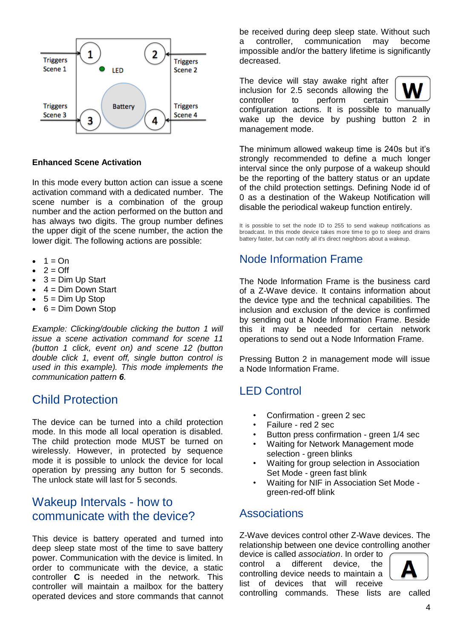

#### **Enhanced Scene Activation**

In this mode every button action can issue a scene activation command with a dedicated number. The scene number is a combination of the group number and the action performed on the button and has always two digits. The group number defines the upper digit of the scene number, the action the lower digit. The following actions are possible:

- $\bullet$  1 = On
- $2 = \bigcirc$
- $\bullet$  3 = Dim Up Start
- 4 = Dim Down Start
- $-5 =$  Dim Up Stop
- $6 =$  Dim Down Stop

*Example: Clicking/double clicking the button 1 will issue a scene activation command for scene 11 (button 1 click, event on) and scene 12 (button double click 1, event off, single button control is used in this example). This mode implements the communication pattern 6.*

### Child Protection

The device can be turned into a child protection mode. In this mode all local operation is disabled. The child protection mode MUST be turned on wirelessly. However, in protected by sequence mode it is possible to unlock the device for local operation by pressing any button for 5 seconds. The unlock state will last for 5 seconds.

### Wakeup Intervals - how to communicate with the device?

This device is battery operated and turned into deep sleep state most of the time to save battery power. Communication with the device is limited. In order to communicate with the device, a static controller **C** is needed in the network. This controller will maintain a mailbox for the battery operated devices and store commands that cannot be received during deep sleep state. Without such a controller, communication may become impossible and/or the battery lifetime is significantly decreased.

The device will stay awake right after inclusion for 2.5 seconds allowing the controller to perform certain configuration actions. It is possible to manually wake up the device by pushing button 2 in management mode.

The minimum allowed wakeup time is 240s but it's strongly recommended to define a much longer interval since the only purpose of a wakeup should be the reporting of the battery status or an update of the child protection settings. Defining Node id of 0 as a destination of the Wakeup Notification will disable the periodical wakeup function entirely.

It is possible to set the node ID to 255 to send wakeup notifications as broadcast. In this mode device takes more time to go to sleep and drains battery faster, but can notify all it's direct neighbors about a wakeup.

### Node Information Frame

The Node Information Frame is the business card of a Z-Wave device. It contains information about the device type and the technical capabilities. The inclusion and exclusion of the device is confirmed by sending out a Node Information Frame. Beside this it may be needed for certain network operations to send out a Node Information Frame.

Pressing Button 2 in management mode will issue a Node Information Frame.

### LED Control

- Confirmation green 2 sec
- Failure red 2 sec
- Button press confirmation green 1/4 sec
- Waiting for Network Management mode selection - green blinks
- Waiting for group selection in Association Set Mode - green fast blink
- Waiting for NIF in Association Set Mode green-red-off blink

### **Associations**

Z-Wave devices control other Z-Wave devices. The relationship between one device controlling another

device is called *association*. In order to control a different device, the controlling device needs to maintain a list of devices that will receive controlling commands. These lists are called

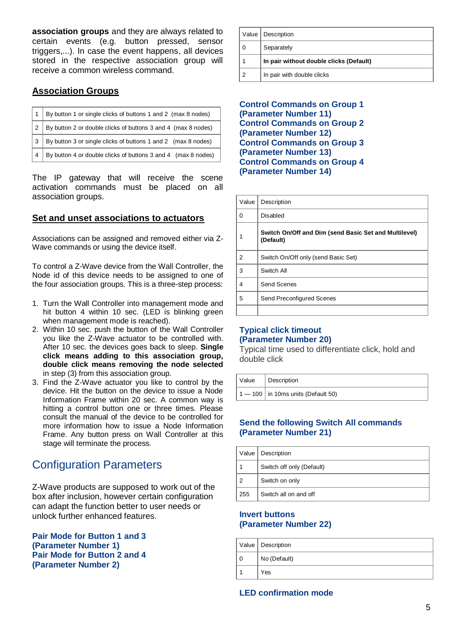**association groups** and they are always related to certain events (e.g. button pressed, sensor triggers,...). In case the event happens, all devices stored in the respective association group will receive a common wireless command.

### **Association Groups**

|     | By button 4 or double clicks of buttons 3 and 4 (max 8 nodes) |
|-----|---------------------------------------------------------------|
| l 3 | By button 3 or single clicks of buttons 1 and 2 (max 8 nodes) |
| l 2 | By button 2 or double clicks of buttons 3 and 4 (max 8 nodes) |
|     | By button 1 or single clicks of buttons 1 and 2 (max 8 nodes) |

The IP gateway that will receive the scene activation commands must be placed on all association groups.

#### **Set and unset associations to actuators**

Associations can be assigned and removed either via Z-Wave commands or using the device itself.

To control a Z-Wave device from the Wall Controller, the Node id of this device needs to be assigned to one of the four association groups. This is a three-step process:

- 1. Turn the Wall Controller into management mode and hit button 4 within 10 sec. (LED is blinking green when management mode is reached).
- 2. Within 10 sec. push the button of the Wall Controller you like the Z-Wave actuator to be controlled with. After 10 sec. the devices goes back to sleep. **Single click means adding to this association group, double click means removing the node selected** in step (3) from this association group.
- 3. Find the Z-Wave actuator you like to control by the device. Hit the button on the device to issue a Node Information Frame within 20 sec. A common way is hitting a control button one or three times. Please consult the manual of the device to be controlled for more information how to issue a Node Information Frame. Any button press on Wall Controller at this stage will terminate the process.

### Configuration Parameters

Z-Wave products are supposed to work out of the box after inclusion, however certain configuration can adapt the function better to user needs or unlock further enhanced features.

**Pair Mode for Button 1 and 3 (Parameter Number 1) Pair Mode for Button 2 and 4 (Parameter Number 2)**

|   | Value   Description                     |  |
|---|-----------------------------------------|--|
|   | Separately                              |  |
|   | In pair without double clicks (Default) |  |
| າ | In pair with double clicks              |  |

#### **Control Commands on Group 1 (Parameter Number 11) Control Commands on Group 2 (Parameter Number 12) Control Commands on Group 3 (Parameter Number 13) Control Commands on Group 4 (Parameter Number 14)**

| Value | Description                                                        |  |
|-------|--------------------------------------------------------------------|--|
| 0     | Disabled                                                           |  |
|       | Switch On/Off and Dim (send Basic Set and Multilevel)<br>(Default) |  |
| 2     | Switch On/Off only (send Basic Set)                                |  |
| 3     | Switch All                                                         |  |
| 4     | Send Scenes                                                        |  |
| 5     | Send Preconfigured Scenes                                          |  |
|       |                                                                    |  |

#### **Typical click timeout (Parameter Number 20)**

Typical time used to differentiate click, hold and double click

| Value   Description                    |
|----------------------------------------|
| $1 - 100$   in 10ms units (Default 50) |

#### **Send the following Switch All commands (Parameter Number 21)**

|     | Value   Description       |  |
|-----|---------------------------|--|
|     | Switch off only (Default) |  |
|     | Switch on only            |  |
| 255 | Switch all on and off     |  |

#### **Invert buttons (Parameter Number 22)**

| Value   Description |
|---------------------|
| No (Default)        |
| Yes                 |

#### **LED confirmation mode**